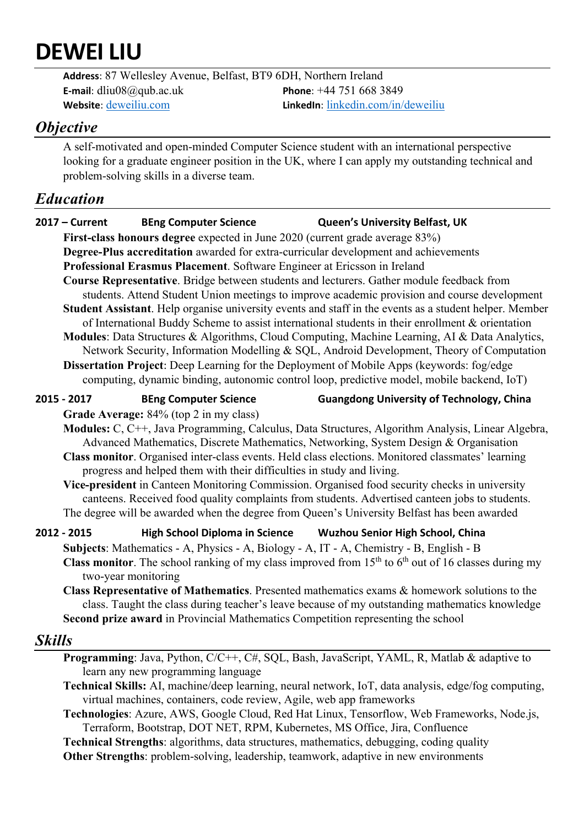# **DEWEI LIU**

**Address**: 87 Wellesley Avenue, Belfast, BT9 6DH, Northern Ireland **E-mail**: dliu08@qub.ac.uk **Phone**: +44 751 668 3849 **Website**: deweiliu.com **LinkedIn**: linkedin.com/in/deweiliu

### *Objective*

A self-motivated and open-minded Computer Science student with an international perspective looking for a graduate engineer position in the UK, where I can apply my outstanding technical and problem-solving skills in a diverse team.

## *Education*

|                                                                                                                                                                                                                                                                                                                                                                                                                                                                                                                                                                                                                                                                                                                                                                                                   | $2017 -$ Current                                                                                                                                                                                                                                                                                                                                                                                                                                                                                                                                                                                                                                                                                                    | <b>BEng Computer Science</b>                                                        | <b>Queen's University Belfast, UK</b>                                                      |  |
|---------------------------------------------------------------------------------------------------------------------------------------------------------------------------------------------------------------------------------------------------------------------------------------------------------------------------------------------------------------------------------------------------------------------------------------------------------------------------------------------------------------------------------------------------------------------------------------------------------------------------------------------------------------------------------------------------------------------------------------------------------------------------------------------------|---------------------------------------------------------------------------------------------------------------------------------------------------------------------------------------------------------------------------------------------------------------------------------------------------------------------------------------------------------------------------------------------------------------------------------------------------------------------------------------------------------------------------------------------------------------------------------------------------------------------------------------------------------------------------------------------------------------------|-------------------------------------------------------------------------------------|--------------------------------------------------------------------------------------------|--|
|                                                                                                                                                                                                                                                                                                                                                                                                                                                                                                                                                                                                                                                                                                                                                                                                   |                                                                                                                                                                                                                                                                                                                                                                                                                                                                                                                                                                                                                                                                                                                     | First-class honours degree expected in June 2020 (current grade average 83%)        |                                                                                            |  |
|                                                                                                                                                                                                                                                                                                                                                                                                                                                                                                                                                                                                                                                                                                                                                                                                   |                                                                                                                                                                                                                                                                                                                                                                                                                                                                                                                                                                                                                                                                                                                     | Degree-Plus accreditation awarded for extra-curricular development and achievements |                                                                                            |  |
|                                                                                                                                                                                                                                                                                                                                                                                                                                                                                                                                                                                                                                                                                                                                                                                                   |                                                                                                                                                                                                                                                                                                                                                                                                                                                                                                                                                                                                                                                                                                                     | Professional Erasmus Placement. Software Engineer at Ericsson in Ireland            |                                                                                            |  |
| Course Representative. Bridge between students and lecturers. Gather module feedback from<br>students. Attend Student Union meetings to improve academic provision and course development<br>Student Assistant. Help organise university events and staff in the events as a student helper. Member<br>of International Buddy Scheme to assist international students in their enrollment & orientation<br>Modules: Data Structures & Algorithms, Cloud Computing, Machine Learning, AI & Data Analytics,<br>Network Security, Information Modelling & SQL, Android Development, Theory of Computation<br>Dissertation Project: Deep Learning for the Deployment of Mobile Apps (keywords: fog/edge<br>computing, dynamic binding, autonomic control loop, predictive model, mobile backend, IoT) |                                                                                                                                                                                                                                                                                                                                                                                                                                                                                                                                                                                                                                                                                                                     |                                                                                     |                                                                                            |  |
|                                                                                                                                                                                                                                                                                                                                                                                                                                                                                                                                                                                                                                                                                                                                                                                                   | 2015 - 2017                                                                                                                                                                                                                                                                                                                                                                                                                                                                                                                                                                                                                                                                                                         | <b>BEng Computer Science</b>                                                        | <b>Guangdong University of Technology, China</b>                                           |  |
|                                                                                                                                                                                                                                                                                                                                                                                                                                                                                                                                                                                                                                                                                                                                                                                                   | Grade Average: 84% (top 2 in my class)<br>Modules: C, C++, Java Programming, Calculus, Data Structures, Algorithm Analysis, Linear Algebra,<br>Advanced Mathematics, Discrete Mathematics, Networking, System Design & Organisation<br>Class monitor. Organised inter-class events. Held class elections. Monitored classmates' learning<br>progress and helped them with their difficulties in study and living.<br>Vice-president in Canteen Monitoring Commission. Organised food security checks in university<br>canteens. Received food quality complaints from students. Advertised canteen jobs to students.<br>The degree will be awarded when the degree from Queen's University Belfast has been awarded |                                                                                     |                                                                                            |  |
|                                                                                                                                                                                                                                                                                                                                                                                                                                                                                                                                                                                                                                                                                                                                                                                                   | 2012 - 2015                                                                                                                                                                                                                                                                                                                                                                                                                                                                                                                                                                                                                                                                                                         |                                                                                     | High School Diploma in Science Wuzhou Senior High School, China                            |  |
|                                                                                                                                                                                                                                                                                                                                                                                                                                                                                                                                                                                                                                                                                                                                                                                                   | Subjects: Mathematics - A, Physics - A, Biology - A, IT - A, Chemistry - B, English - B<br><b>Class monitor</b> . The school ranking of my class improved from $15th$ to $6th$ out of 16 classes during my<br>two-year monitoring<br>Class Representative of Mathematics. Presented mathematics exams & homework solutions to the<br>class. Taught the class during teacher's leave because of my outstanding mathematics knowledge<br>Second prize award in Provincial Mathematics Competition representing the school                                                                                                                                                                                             |                                                                                     |                                                                                            |  |
| <b>Skills</b>                                                                                                                                                                                                                                                                                                                                                                                                                                                                                                                                                                                                                                                                                                                                                                                     |                                                                                                                                                                                                                                                                                                                                                                                                                                                                                                                                                                                                                                                                                                                     |                                                                                     |                                                                                            |  |
|                                                                                                                                                                                                                                                                                                                                                                                                                                                                                                                                                                                                                                                                                                                                                                                                   |                                                                                                                                                                                                                                                                                                                                                                                                                                                                                                                                                                                                                                                                                                                     |                                                                                     | Programming: Java, Python, C/C++, C#, SQL, Bash, JavaScript, YAML, R, Matlab & adaptive to |  |

- learn any new programming language
- **Technical Skills:** AI, machine/deep learning, neural network, IoT, data analysis, edge/fog computing, virtual machines, containers, code review, Agile, web app frameworks

**Technologies**: Azure, AWS, Google Cloud, Red Hat Linux, Tensorflow, Web Frameworks, Node.js, Terraform, Bootstrap, DOT NET, RPM, Kubernetes, MS Office, Jira, Confluence

**Technical Strengths**: algorithms, data structures, mathematics, debugging, coding quality **Other Strengths**: problem-solving, leadership, teamwork, adaptive in new environments